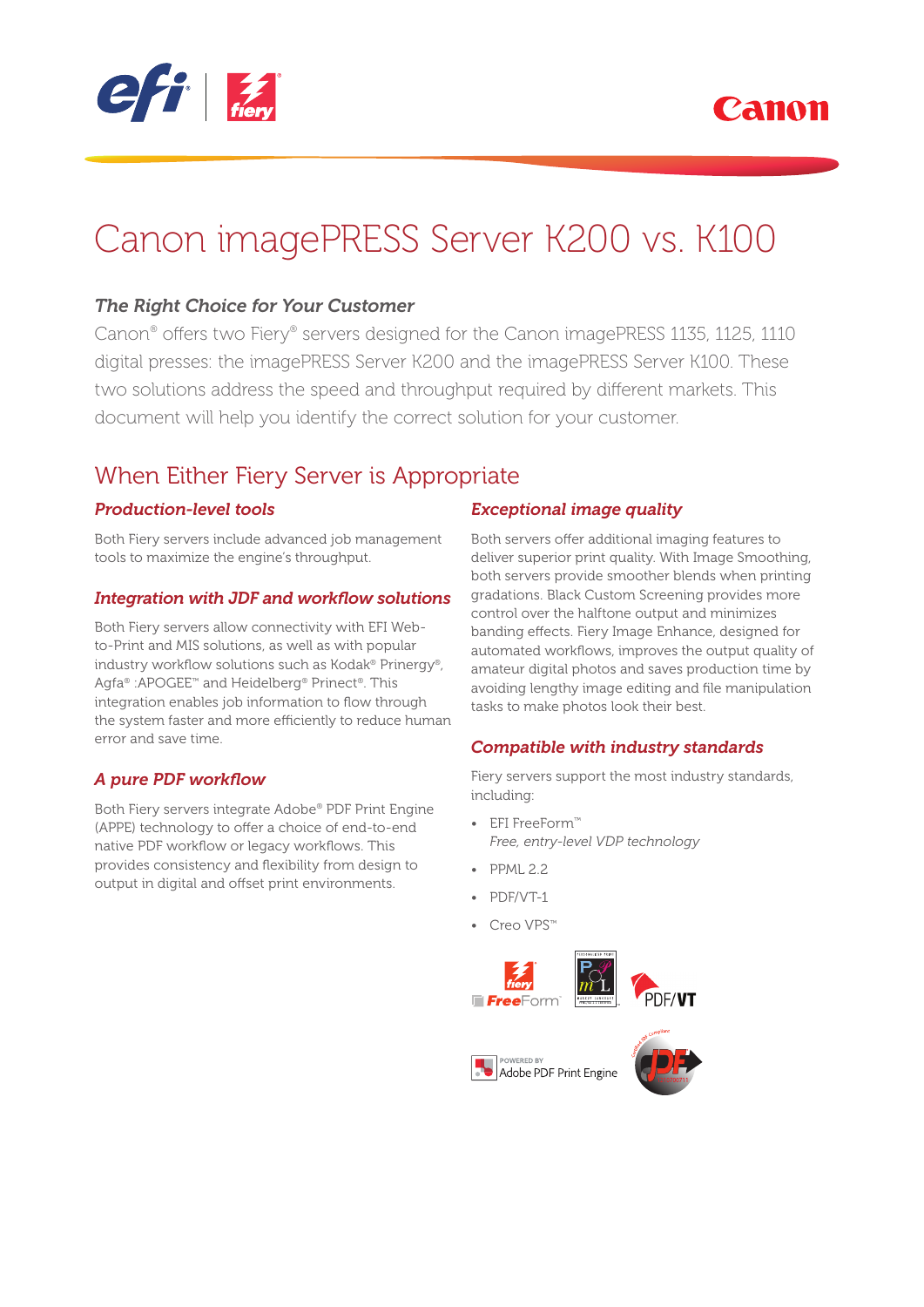



# Canon imagePRESS Server K200 vs. K100

### *The Right Choice for Your Customer*

Canon® offers two Fiery® servers designed for the Canon imagePRESS 1135, 1125, 1110 digital presses: the imagePRESS Server K200 and the imagePRESS Server K100. These two solutions address the speed and throughput required by different markets. This document will help you identify the correct solution for your customer.

### When Either Fiery Server is Appropriate

### *Production-level tools*

Both Fiery servers include advanced job management tools to maximize the engine's throughput.

### **Integration with JDF and workflow solutions**

Both Fiery servers allow connectivity with EFI Webto-Print and MIS solutions, as well as with popular industry workflow solutions such as Kodak® Prinergy®, Agfa® :APOGEE™ and Heidelberg® Prinect®. This integration enables job information to flow through the system faster and more efficiently to reduce human error and save time.

### **A pure PDF workflow**

Both Fiery servers integrate Adobe® PDF Print Engine (APPE) technology to offer a choice of end-to-end native PDF workflow or legacy workflows. This provides consistency and flexibility from design to output in digital and offset print environments.

### *Exceptional image quality*

Both servers offer additional imaging features to deliver superior print quality. With Image Smoothing, both servers provide smoother blends when printing gradations. Black Custom Screening provides more control over the halftone output and minimizes banding effects. Fiery Image Enhance, designed for automated workflows, improves the output quality of amateur digital photos and saves production time by avoiding lengthy image editing and file manipulation tasks to make photos look their best.

### *Compatible with industry standards*

Fiery servers support the most industry standards, including:

- EFI FreeForm™ *Free, entry-level VDP technology*
- PPML 2.2
- PDF/VT-1
- Creo VPS™

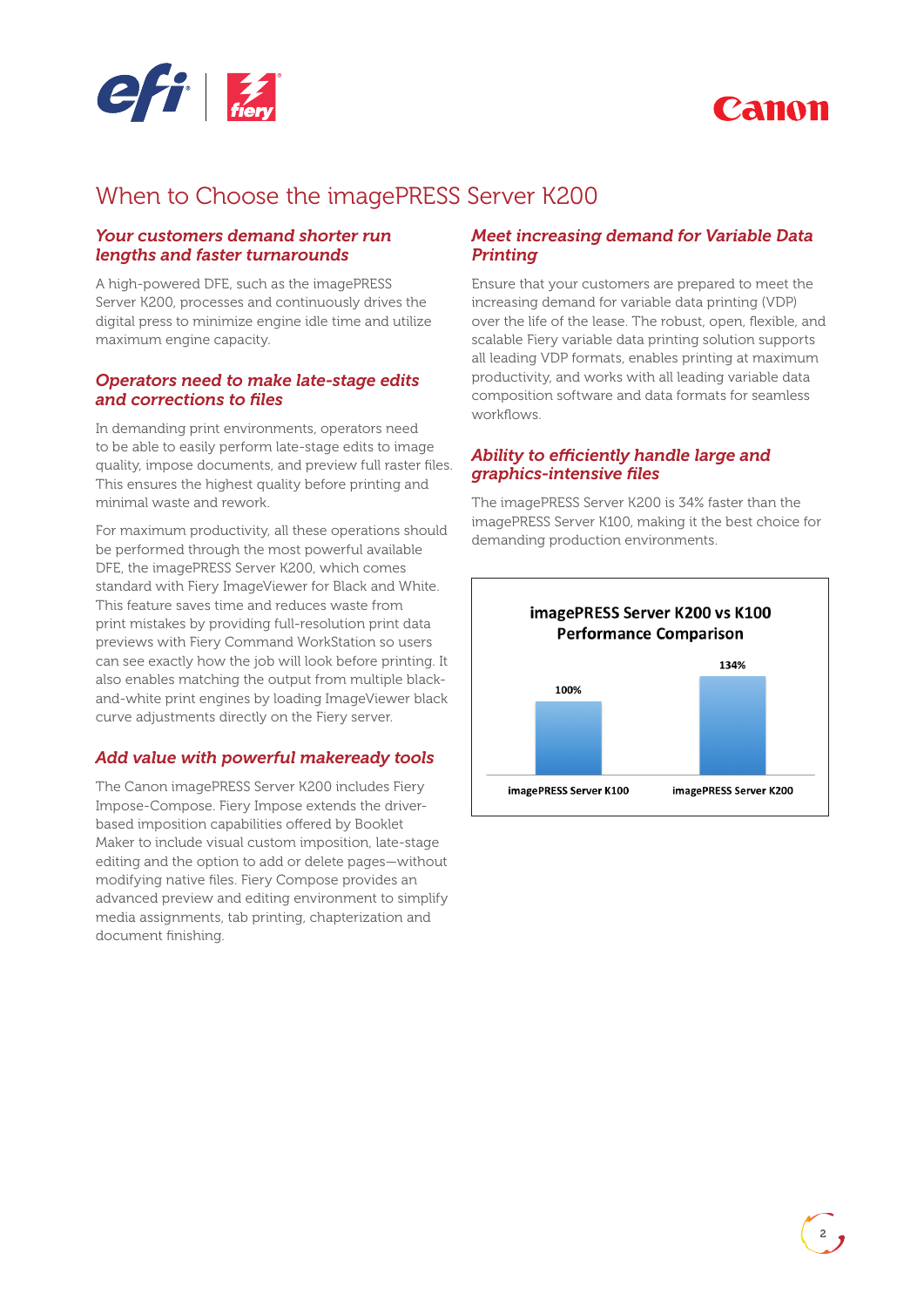



### When to Choose the imagePRESS Server K200

#### *Your customers demand shorter run lengths and faster turnarounds*

A high-powered DFE, such as the imagePRESS Server K200, processes and continuously drives the digital press to minimize engine idle time and utilize maximum engine capacity.

#### *Operators need to make late-stage edits and corrections to fi les*

In demanding print environments, operators need to be able to easily perform late-stage edits to image quality, impose documents, and preview full raster files. This ensures the highest quality before printing and minimal waste and rework.

For maximum productivity, all these operations should be performed through the most powerful available DFE, the imagePRESS Server K200, which comes standard with Fiery ImageViewer for Black and White. This feature saves time and reduces waste from print mistakes by providing full-resolution print data previews with Fiery Command WorkStation so users can see exactly how the job will look before printing. It also enables matching the output from multiple blackand-white print engines by loading ImageViewer black curve adjustments directly on the Fiery server.

### *Add value with powerful makeready tools*

The Canon imagePRESS Server K200 includes Fiery Impose-Compose. Fiery Impose extends the driverbased imposition capabilities offered by Booklet Maker to include visual custom imposition, late-stage editing and the option to add or delete pages—without modifying native files. Fiery Compose provides an advanced preview and editing environment to simplify media assignments, tab printing, chapterization and document finishing.

### *Meet increasing demand for Variable Data Printing*

Ensure that your customers are prepared to meet the increasing demand for variable data printing (VDP) over the life of the lease. The robust, open, flexible, and scalable Fiery variable data printing solution supports all leading VDP formats, enables printing at maximum productivity, and works with all leading variable data composition software and data formats for seamless workflows.

#### Ability to efficiently handle large and *graphics-intensive fi les*

The imagePRESS Server K200 is 34% faster than the imagePRESS Server K100, making it the best choice for demanding production environments.